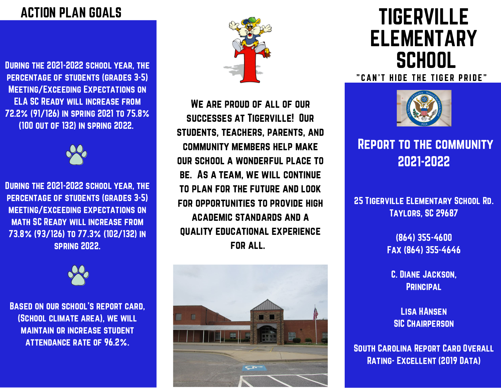#### ACTION PLAN GOALS

During the 2021-2022 school year, the percentage of students (grades 3-5) Meeting/Exceeding Expectations on ELA SC Ready will increase from 72.2% (91/126) in spring 2021 to 75.8% (100 out of 132) in spring 2022.



During the 2021-2022 school year, the percentage of students (grades 3-5) meeting/exceeding expectations on math SC Ready will increase from 73.8% (93/126) to 77.3% (102/132) in spring 2022.



Based on our school's report card, (School climate area), we will maintain or increase student attendance rate of 96.2%.



We are proud of all of our successes at Tigerville! Our students, teachers, parents, and community members help make our school a wonderful place to be. As a team, we will continue to plan for the future and look for opportunities to provide high academic standards and a quality educational experience for all.



# TIGERVILLE ELEMENTARY **SCHOOL**

" CAN'T HIDE THE TIGER PRIDE"



#### Report to the community 2021-2022

25 Tigerville Elementary School Rd. Taylors, SC 29687

> (864) 355-4600 Fax (864) 355-4646

C. Diane Jackson, **PRINCIPAL** 

Lisa HAnsen **SIC CHAIRPERSON** 

South Carolina Report Card Overall Rating- Excellent (2019 Data)